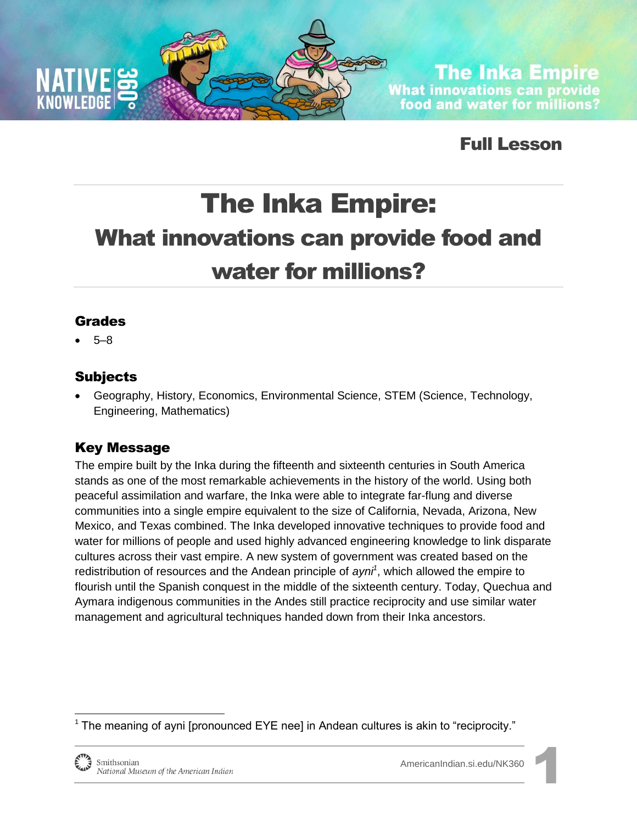

**The Inka Empire** What innovations can provide<br>food and water for millions?

Full Lesson

# The Inka Empire: What innovations can provide food and water for millions?

#### Grades

5–8

### Subjects

 Geography, History, Economics, Environmental Science, STEM (Science, Technology, Engineering, Mathematics)

### Key Message

The empire built by the Inka during the fifteenth and sixteenth centuries in South America stands as one of the most remarkable achievements in the history of the world. Using both peaceful assimilation and warfare, the Inka were able to integrate far-flung and diverse communities into a single empire equivalent to the size of California, Nevada, Arizona, New Mexico, and Texas combined. The Inka developed innovative techniques to provide food and water for millions of people and used highly advanced engineering knowledge to link disparate cultures across their vast empire. A new system of government was created based on the redistribution of resources and the Andean principle of *ayni<sup>1</sup>* , which allowed the empire to flourish until the Spanish conquest in the middle of the sixteenth century. Today, Quechua and Aymara indigenous communities in the Andes still practice reciprocity and use similar water management and agricultural techniques handed down from their Inka ancestors.

 $1$  The meaning of ayni [pronounced EYE nee] in Andean cultures is akin to "reciprocity."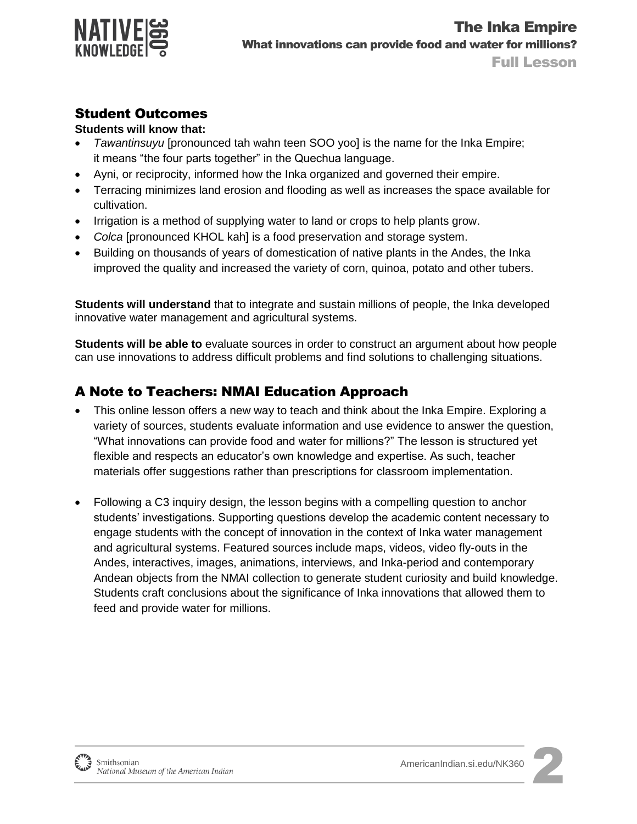

### Student Outcomes

#### **Students will know that:**

- *Tawantinsuyu* [pronounced tah wahn teen SOO yoo] is the name for the Inka Empire; it means "the four parts together" in the Quechua language.
- Ayni, or reciprocity, informed how the Inka organized and governed their empire.
- Terracing minimizes land erosion and flooding as well as increases the space available for cultivation.
- Irrigation is a method of supplying water to land or crops to help plants grow.
- *Colca* [pronounced KHOL kah] is a food preservation and storage system.
- Building on thousands of years of domestication of native plants in the Andes, the Inka improved the quality and increased the variety of corn, quinoa, potato and other tubers.

**Students will understand** that to integrate and sustain millions of people, the Inka developed innovative water management and agricultural systems.

**Students will be able to** evaluate sources in order to construct an argument about how people can use innovations to address difficult problems and find solutions to challenging situations.

### A Note to Teachers: NMAI Education Approach

- This online lesson offers a new way to teach and think about the Inka Empire. Exploring a variety of sources, students evaluate information and use evidence to answer the question, "What innovations can provide food and water for millions?" The lesson is structured yet flexible and respects an educator's own knowledge and expertise. As such, teacher materials offer suggestions rather than prescriptions for classroom implementation.
- Following a C3 inquiry design, the lesson begins with a compelling question to anchor students' investigations. Supporting questions develop the academic content necessary to engage students with the concept of innovation in the context of Inka water management and agricultural systems. Featured sources include maps, videos, video fly-outs in the Andes, interactives, images, animations, interviews, and Inka-period and contemporary Andean objects from the NMAI collection to generate student curiosity and build knowledge. Students craft conclusions about the significance of Inka innovations that allowed them to feed and provide water for millions.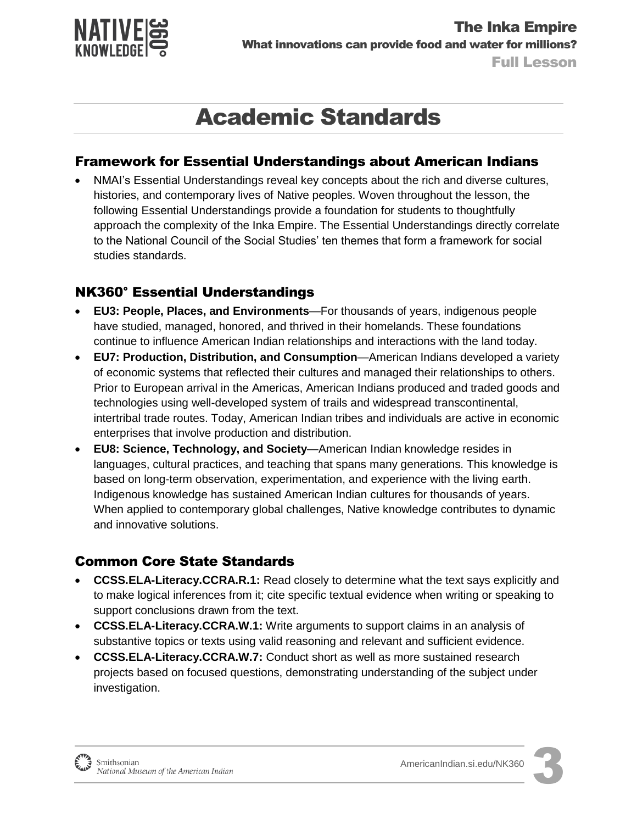

## Academic Standards

#### Framework for Essential Understandings about American Indians

 NMAI's Essential Understandings reveal key concepts about the rich and diverse cultures, histories, and contemporary lives of Native peoples. Woven throughout the lesson, the following Essential Understandings provide a foundation for students to thoughtfully approach the complexity of the Inka Empire. The Essential Understandings directly correlate to the National Council of the Social Studies' ten themes that form a framework for social studies standards.

### NK360° Essential Understandings

- **EU3: People, Places, and Environments**—For thousands of years, indigenous people have studied, managed, honored, and thrived in their homelands. These foundations continue to influence American Indian relationships and interactions with the land today.
- **EU7: Production, Distribution, and Consumption**—American Indians developed a variety of economic systems that reflected their cultures and managed their relationships to others. Prior to European arrival in the Americas, American Indians produced and traded goods and technologies using well-developed system of trails and widespread transcontinental, intertribal trade routes. Today, American Indian tribes and individuals are active in economic enterprises that involve production and distribution.
- **EU8: Science, Technology, and Society**—American Indian knowledge resides in languages, cultural practices, and teaching that spans many generations. This knowledge is based on long-term observation, experimentation, and experience with the living earth. Indigenous knowledge has sustained American Indian cultures for thousands of years. When applied to contemporary global challenges, Native knowledge contributes to dynamic and innovative solutions.

#### Common Core State Standards

- **CCSS.ELA-Literacy.CCRA.R.1:** Read closely to determine what the text says explicitly and to make logical inferences from it; cite specific textual evidence when writing or speaking to support conclusions drawn from the text.
- **CCSS.ELA-Literacy.CCRA.W.1:** Write arguments to support claims in an analysis of substantive topics or texts using valid reasoning and relevant and sufficient evidence.
- **CCSS.ELA-Literacy.CCRA.W.7:** Conduct short as well as more sustained research projects based on focused questions, demonstrating understanding of the subject under investigation.



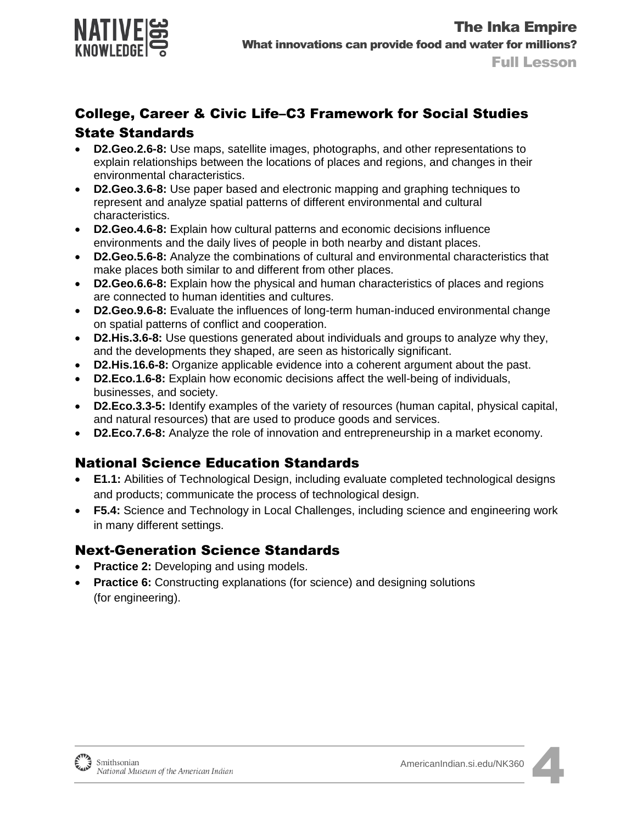

### College, Career & Civic Life–C3 Framework for Social Studies State Standards

- **D2.Geo.2.6-8:** Use maps, satellite images, photographs, and other representations to explain relationships between the locations of places and regions, and changes in their environmental characteristics.
- **D2.Geo.3.6-8:** Use paper based and electronic mapping and graphing techniques to represent and analyze spatial patterns of different environmental and cultural characteristics.
- **D2.Geo.4.6-8:** Explain how cultural patterns and economic decisions influence environments and the daily lives of people in both nearby and distant places.
- **D2.Geo.5.6-8:** Analyze the combinations of cultural and environmental characteristics that make places both similar to and different from other places.
- **D2.Geo.6.6-8:** Explain how the physical and human characteristics of places and regions are connected to human identities and cultures.
- **D2.Geo.9.6-8:** Evaluate the influences of long-term human-induced environmental change on spatial patterns of conflict and cooperation.
- **D2.His.3.6-8:** Use questions generated about individuals and groups to analyze why they, and the developments they shaped, are seen as historically significant.
- **D2.His.16.6-8:** Organize applicable evidence into a coherent argument about the past.
- **D2.Eco.1.6-8:** Explain how economic decisions affect the well-being of individuals, businesses, and society.
- **D2.Eco.3.3-5:** Identify examples of the variety of resources (human capital, physical capital, and natural resources) that are used to produce goods and services.
- **D2.Eco.7.6-8:** Analyze the role of innovation and entrepreneurship in a market economy.

### National Science Education Standards

- **E1.1:** Abilities of Technological Design, including evaluate completed technological designs and products; communicate the process of technological design.
- **F5.4:** Science and Technology in Local Challenges, including science and engineering work in many different settings.

#### Next-Generation Science Standards

- **Practice 2:** Developing and using models.
- **Practice 6:** Constructing explanations (for science) and designing solutions (for engineering).

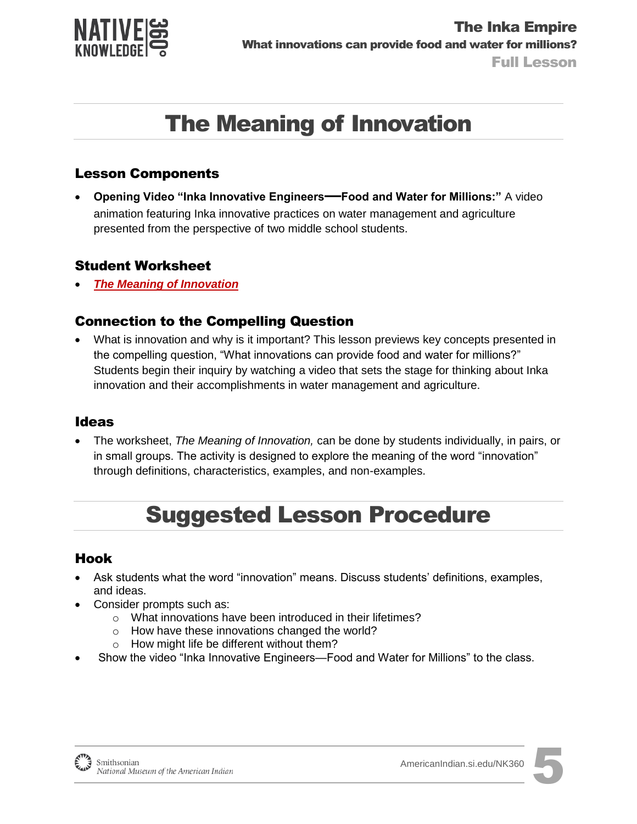

## The Meaning of Innovation

#### Lesson Components

 **Opening Video "Inka Innovative Engineers—Food and Water for Millions:"** A video animation featuring Inka innovative practices on water management and agriculture presented from the perspective of two middle school students.

#### Student Worksheet

*[The Meaning of Innovation](http://americanindian.si.edu/nk360/inka-water/pdf/Student-Instructions-StagingQuestion-InkaRoad-WaterManagement-ENGLISH.pdf)*

#### Connection to the Compelling Question

 What is innovation and why is it important? This lesson previews key concepts presented in the compelling question, "What innovations can provide food and water for millions?" Students begin their inquiry by watching a video that sets the stage for thinking about Inka innovation and their accomplishments in water management and agriculture.

#### Ideas

 The worksheet, *The Meaning of Innovation,* can be done by students individually, in pairs, or in small groups. The activity is designed to explore the meaning of the word "innovation" through definitions, characteristics, examples, and non-examples.

## Suggested Lesson Procedure

#### Hook

- Ask students what the word "innovation" means. Discuss students' definitions, examples, and ideas.
- Consider prompts such as:
	- o What innovations have been introduced in their lifetimes?
	- o How have these innovations changed the world?
	- o How might life be different without them?
- Show the video "Inka Innovative Engineers—Food and Water for Millions" to the class.



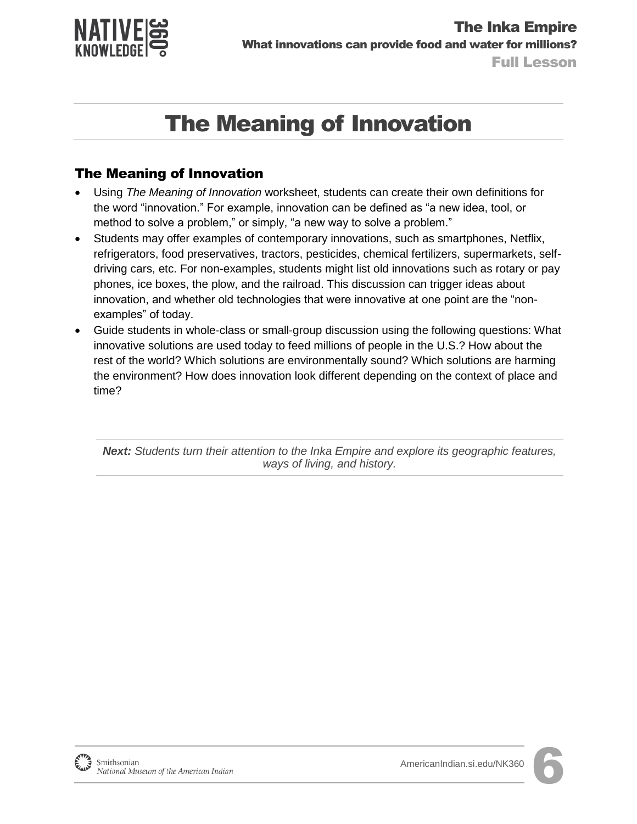

# The Meaning of Innovation

### The Meaning of Innovation

- Using *The Meaning of Innovation* worksheet, students can create their own definitions for the word "innovation." For example, innovation can be defined as "a new idea, tool, or method to solve a problem," or simply, "a new way to solve a problem."
- Students may offer examples of contemporary innovations, such as smartphones, Netflix, refrigerators, food preservatives, tractors, pesticides, chemical fertilizers, supermarkets, selfdriving cars, etc. For non-examples, students might list old innovations such as rotary or pay phones, ice boxes, the plow, and the railroad. This discussion can trigger ideas about innovation, and whether old technologies that were innovative at one point are the "nonexamples" of today.
- Guide students in whole-class or small-group discussion using the following questions: What innovative solutions are used today to feed millions of people in the U.S.? How about the rest of the world? Which solutions are environmentally sound? Which solutions are harming the environment? How does innovation look different depending on the context of place and time?

*Next: Students turn their attention to the Inka Empire and explore its geographic features, ways of living, and history.*

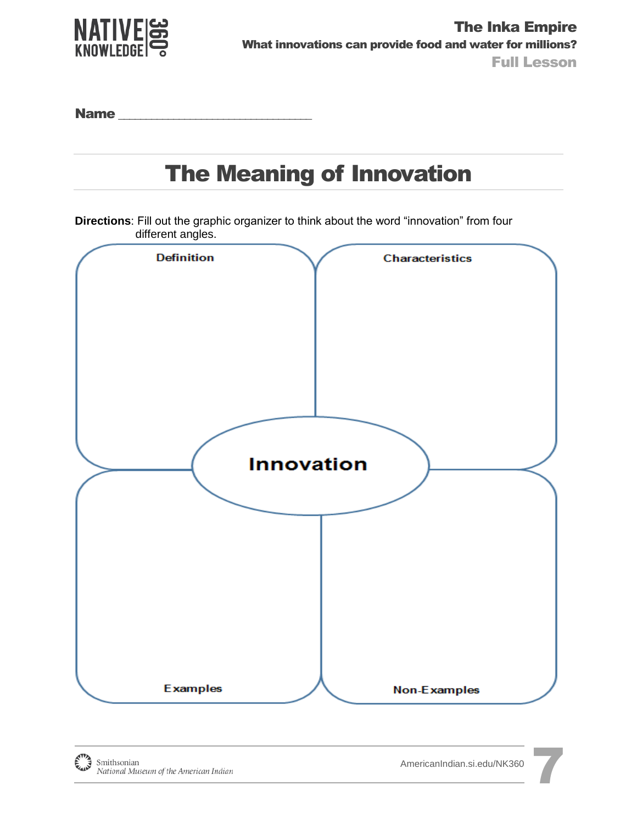

Name \_\_\_\_\_\_\_\_\_\_\_\_\_\_\_\_\_\_\_\_\_\_\_\_\_\_\_\_\_\_\_\_\_\_\_

## The Meaning of Innovation

**Directions**: Fill out the graphic organizer to think about the word "innovation" from four different angles.

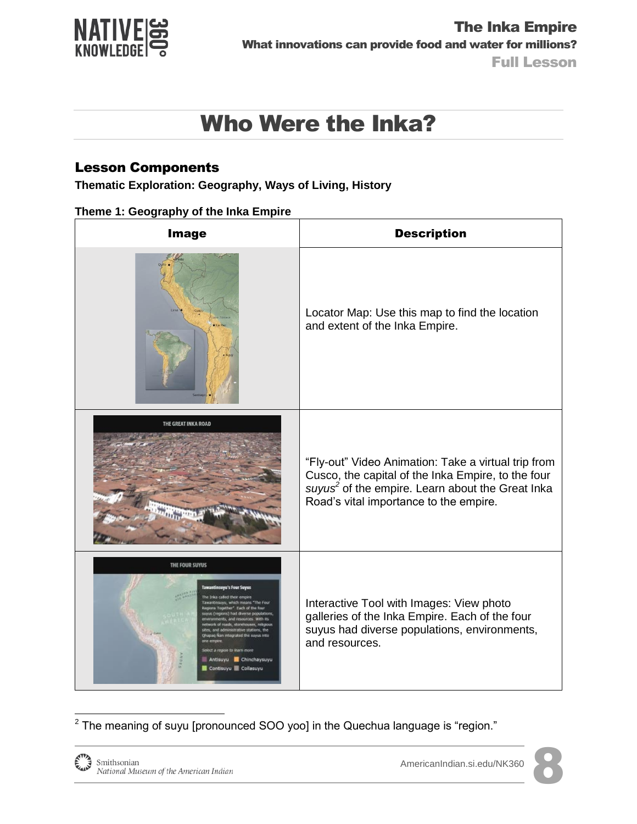

### Lesson Components

**Thematic Exploration: Geography, Ways of Living, History**

| <b>Image</b>                                                                                                                                                                                                       | <b>Description</b>                                                                                                                                                                                                  |
|--------------------------------------------------------------------------------------------------------------------------------------------------------------------------------------------------------------------|---------------------------------------------------------------------------------------------------------------------------------------------------------------------------------------------------------------------|
|                                                                                                                                                                                                                    | Locator Map: Use this map to find the location<br>and extent of the Inka Empire.                                                                                                                                    |
| THE GREAT INKA ROAD                                                                                                                                                                                                | "Fly-out" Video Animation: Take a virtual trip from<br>Cusco, the capital of the Inka Empire, to the four<br>suyus <sup>2</sup> of the empire. Learn about the Great Inka<br>Road's vital importance to the empire. |
| THE FOUR SUYUS<br>The Four<br>Each of the four<br>and administrative stations, the<br>upag Nan integrated the suyus into<br>Select a region to learn more<br>Antisuyu Chinchaysuyu<br>Contisuyu <b>B</b> Collasuyu | Interactive Tool with Images: View photo<br>galleries of the Inka Empire. Each of the four<br>suyus had diverse populations, environments,<br>and resources.                                                        |

 $2$  The meaning of suyu [pronounced SOO yoo] in the Quechua language is "region."

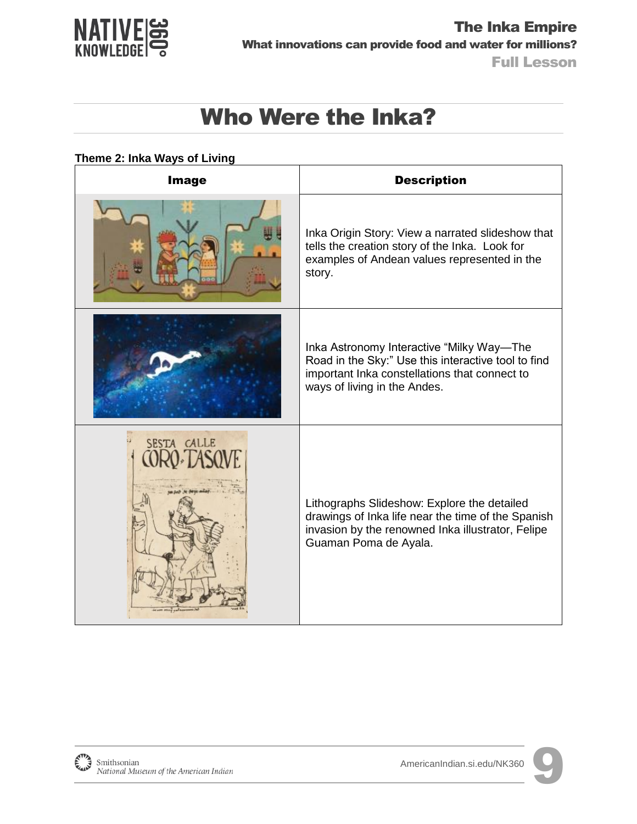

#### **Theme 2: Inka Ways of Living**

| Image       | <b>Description</b>                                                                                                                                                                |
|-------------|-----------------------------------------------------------------------------------------------------------------------------------------------------------------------------------|
|             | Inka Origin Story: View a narrated slideshow that<br>tells the creation story of the Inka. Look for<br>examples of Andean values represented in the<br>story.                     |
|             | Inka Astronomy Interactive "Milky Way-The<br>Road in the Sky:" Use this interactive tool to find<br>important Inka constellations that connect to<br>ways of living in the Andes. |
| SESTA CALLE | Lithographs Slideshow: Explore the detailed<br>drawings of Inka life near the time of the Spanish<br>invasion by the renowned Inka illustrator, Felipe<br>Guaman Poma de Ayala.   |

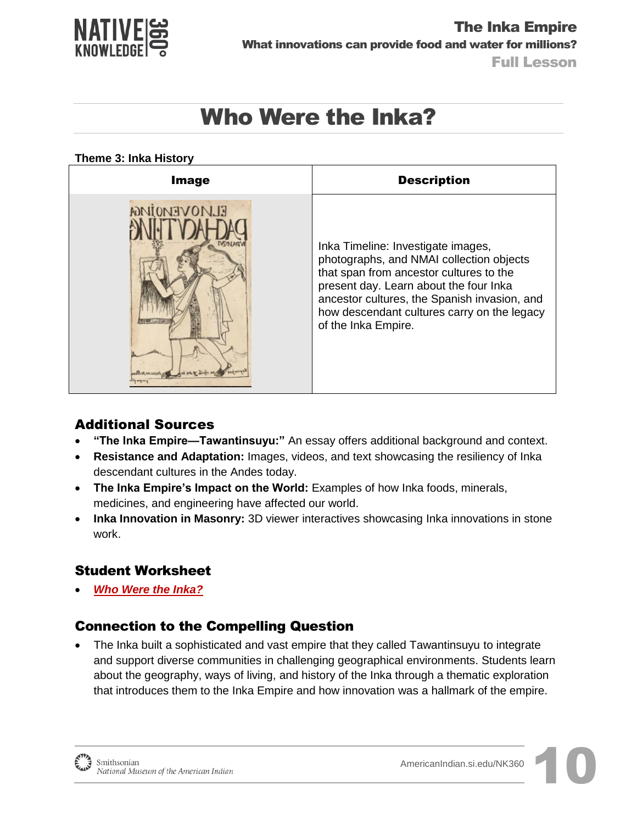

#### **Theme 3: Inka History**

| <b>Image</b>        | <b>Description</b>                                                                                                                                                                                                                                                                        |
|---------------------|-------------------------------------------------------------------------------------------------------------------------------------------------------------------------------------------------------------------------------------------------------------------------------------------|
| <b>ELMOVEMOIMGA</b> | Inka Timeline: Investigate images,<br>photographs, and NMAI collection objects<br>that span from ancestor cultures to the<br>present day. Learn about the four Inka<br>ancestor cultures, the Spanish invasion, and<br>how descendant cultures carry on the legacy<br>of the Inka Empire. |

### Additional Sources

- **"The Inka Empire—Tawantinsuyu:"** An essay offers additional background and context.
- **Resistance and Adaptation:** Images, videos, and text showcasing the resiliency of Inka descendant cultures in the Andes today.
- **The Inka Empire's Impact on the World:** Examples of how Inka foods, minerals, medicines, and engineering have affected our world.
- **Inka Innovation in Masonry:** 3D viewer interactives showcasing Inka innovations in stone work.

### Student Worksheet

*[Who Were the Inka?](http://americanindian.si.edu/nk360/inka-water/pdf/Student-Instructions-SQ1-InkaRoad-WaterManagement-ENGLISH.pdf)*

#### Connection to the Compelling Question

 The Inka built a sophisticated and vast empire that they called Tawantinsuyu to integrate and support diverse communities in challenging geographical environments. Students learn about the geography, ways of living, and history of the Inka through a thematic exploration that introduces them to the Inka Empire and how innovation was a hallmark of the empire.

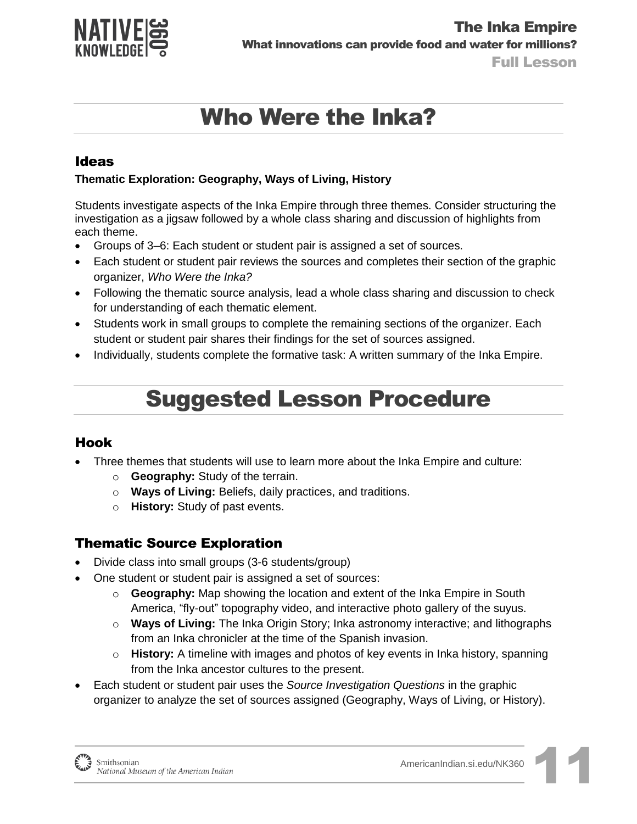

#### Ideas

#### **Thematic Exploration: Geography, Ways of Living, History**

Students investigate aspects of the Inka Empire through three themes. Consider structuring the investigation as a jigsaw followed by a whole class sharing and discussion of highlights from each theme.

- Groups of 3–6: Each student or student pair is assigned a set of sources.
- Each student or student pair reviews the sources and completes their section of the graphic organizer, *Who Were the Inka?*
- Following the thematic source analysis, lead a whole class sharing and discussion to check for understanding of each thematic element.
- Students work in small groups to complete the remaining sections of the organizer. Each student or student pair shares their findings for the set of sources assigned.
- Individually, students complete the formative task: A written summary of the Inka Empire.

### Suggested Lesson Procedure

#### Hook

- Three themes that students will use to learn more about the Inka Empire and culture:
	- o **Geography:** Study of the terrain.
	- o **Ways of Living:** Beliefs, daily practices, and traditions.
	- o **History:** Study of past events.

#### Thematic Source Exploration

- Divide class into small groups (3-6 students/group)
	- One student or student pair is assigned a set of sources:
		- o **Geography:** Map showing the location and extent of the Inka Empire in South America, "fly-out" topography video, and interactive photo gallery of the suyus.
		- o **Ways of Living:** The Inka Origin Story; Inka astronomy interactive; and lithographs from an Inka chronicler at the time of the Spanish invasion.
		- o **History:** A timeline with images and photos of key events in Inka history, spanning from the Inka ancestor cultures to the present.
- Each student or student pair uses the *Source Investigation Questions* in the graphic organizer to analyze the set of sources assigned (Geography, Ways of Living, or History).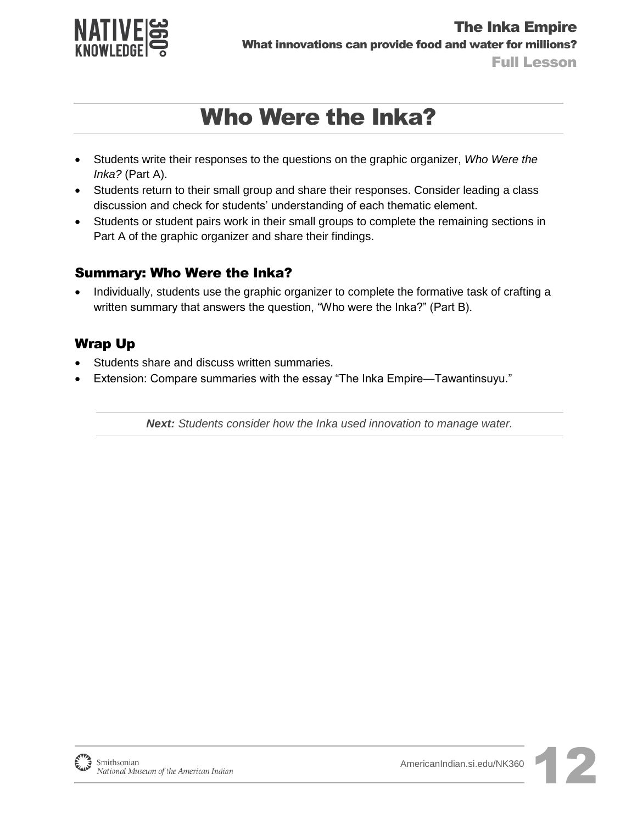

- Students write their responses to the questions on the graphic organizer, *Who Were the Inka?* (Part A).
- Students return to their small group and share their responses. Consider leading a class discussion and check for students' understanding of each thematic element.
- Students or student pairs work in their small groups to complete the remaining sections in Part A of the graphic organizer and share their findings.

#### Summary: Who Were the Inka?

• Individually, students use the graphic organizer to complete the formative task of crafting a written summary that answers the question, "Who were the Inka?" (Part B).

### Wrap Up

- Students share and discuss written summaries.
- Extension: Compare summaries with the essay "The Inka Empire—Tawantinsuyu."

*Next: Students consider how the Inka used innovation to manage water.*

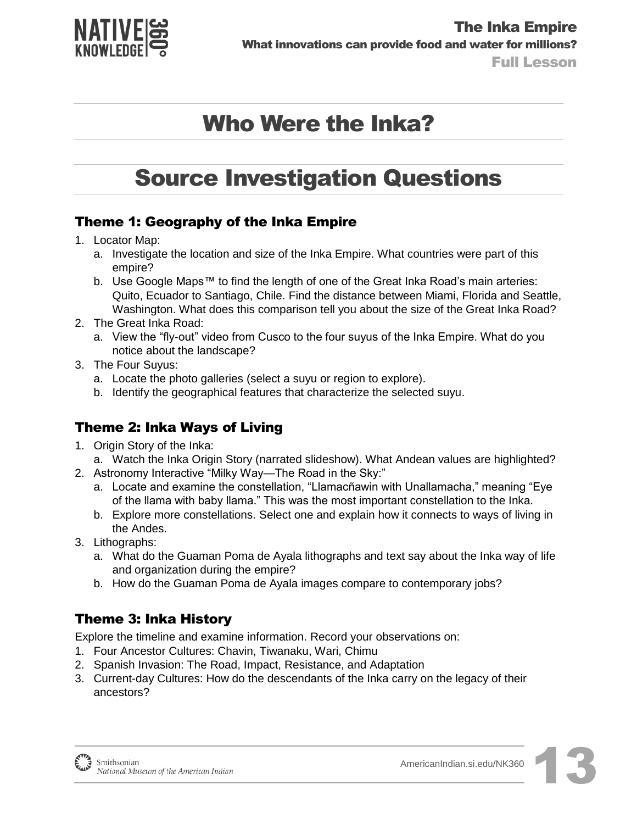

### Source Investigation Questions

### Theme 1: Geography of the Inka Empire

- 1. Locator Map:
	- a. Investigate the location and size of the Inka Empire. What countries were part of this empire?
	- b. Use Google Maps™ to find the length of one of the Great Inka Road's main arteries: Quito, Ecuador to Santiago, Chile. Find the distance between Miami, Florida and Seattle, Washington. What does this comparison tell you about the size of the Great Inka Road?
- 2. The Great Inka Road:
	- a. View the "fly-out" video from Cusco to the four suyus of the Inka Empire. What do you notice about the landscape?
- 3. The Four Suyus:
	- a. Locate the photo galleries (select a suyu or region to explore).
	- b. Identify the geographical features that characterize the selected suyu.

### Theme 2: Inka Ways of Living

- 1. Origin Story of the Inka:
- a. Watch the Inka Origin Story (narrated slideshow). What Andean values are highlighted?
- 2. Astronomy Interactive "Milky Way—The Road in the Sky:"
	- a. Locate and examine the constellation, "Llamacñawin with Unallamacha," meaning "Eye of the llama with baby llama." This was the most important constellation to the Inka.
	- b. Explore more constellations. Select one and explain how it connects to ways of living in the Andes.
- 3. Lithographs:
	- a. What do the Guaman Poma de Ayala lithographs and text say about the Inka way of life and organization during the empire?
	- b. How do the Guaman Poma de Ayala images compare to contemporary jobs?

### Theme 3: Inka History

Explore the timeline and examine information. Record your observations on:

- 1. Four Ancestor Cultures: Chavin, Tiwanaku, Wari, Chimu
- 2. Spanish Invasion: The Road, Impact, Resistance, and Adaptation
- 3. Current-day Cultures: How do the descendants of the Inka carry on the legacy of their ancestors?

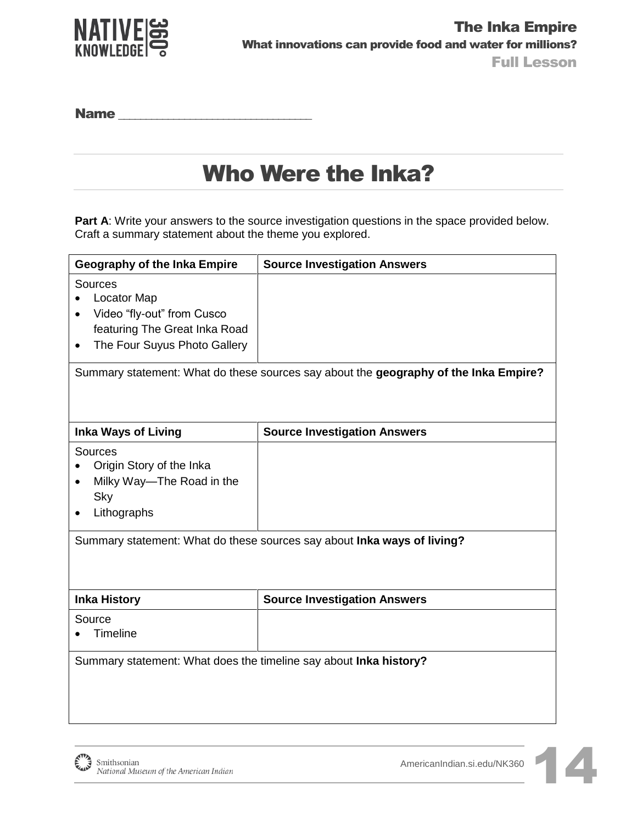

Name \_\_\_\_\_\_\_\_\_\_\_\_\_\_\_\_\_\_\_\_\_\_\_\_\_\_\_\_\_\_\_\_\_\_\_

## Who Were the Inka?

Part A: Write your answers to the source investigation questions in the space provided below. Craft a summary statement about the theme you explored.

| <b>Geography of the Inka Empire</b>                                                                                                       | <b>Source Investigation Answers</b>                                     |  |
|-------------------------------------------------------------------------------------------------------------------------------------------|-------------------------------------------------------------------------|--|
| Sources<br><b>Locator Map</b><br>Video "fly-out" from Cusco<br>featuring The Great Inka Road<br>The Four Suyus Photo Gallery<br>$\bullet$ |                                                                         |  |
| Summary statement: What do these sources say about the geography of the Inka Empire?                                                      |                                                                         |  |
| <b>Inka Ways of Living</b>                                                                                                                | <b>Source Investigation Answers</b>                                     |  |
| Sources<br>Origin Story of the Inka<br>Milky Way-The Road in the<br>Sky<br>Lithographs                                                    | Summary statement: What do these sources say about Inka ways of living? |  |
| <b>Inka History</b>                                                                                                                       | <b>Source Investigation Answers</b>                                     |  |
| Source<br>Timeline                                                                                                                        |                                                                         |  |
| Summary statement: What does the timeline say about Inka history?                                                                         |                                                                         |  |

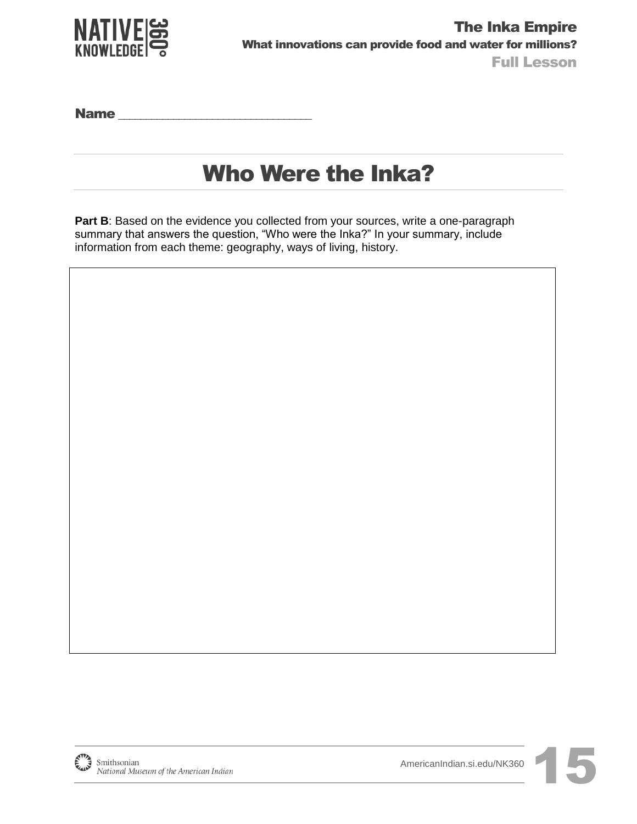

Name **we have a set of the set of the set of the set of the set of the set of the set of the set of the set of the set of the set of the set of the set of the set of the set of the set of the set of the set of the set of t** 

## Who Were the Inka?

Part B: Based on the evidence you collected from your sources, write a one-paragraph summary that answers the question, "Who were the Inka?" In your summary, include information from each theme: geography, ways of living, history.

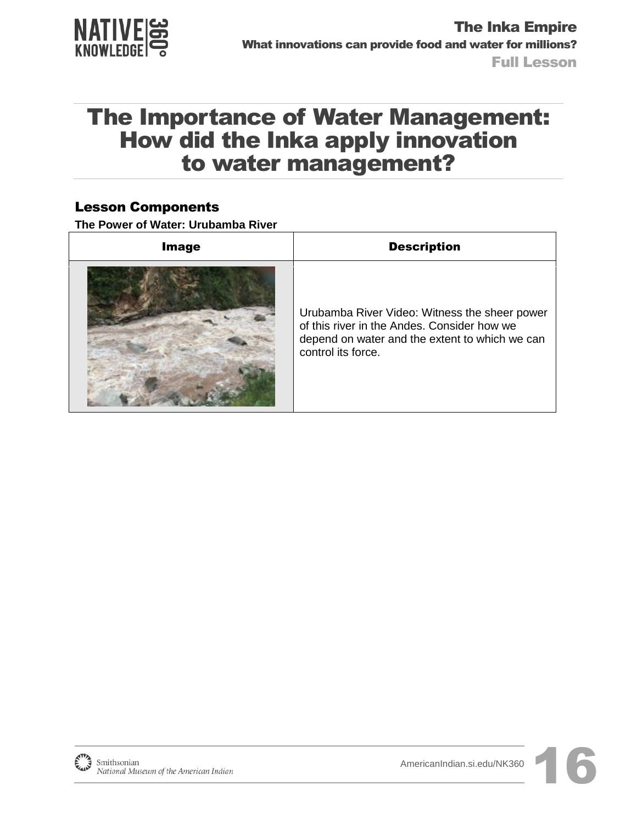

### The Importance of Water Management: How did the Inka apply innovation to water management?

#### Lesson Components

**The Power of Water: Urubamba River** 

| <b>Image</b> | <b>Description</b>                                                                                                                                                   |
|--------------|----------------------------------------------------------------------------------------------------------------------------------------------------------------------|
|              | Urubamba River Video: Witness the sheer power<br>of this river in the Andes. Consider how we<br>depend on water and the extent to which we can<br>control its force. |

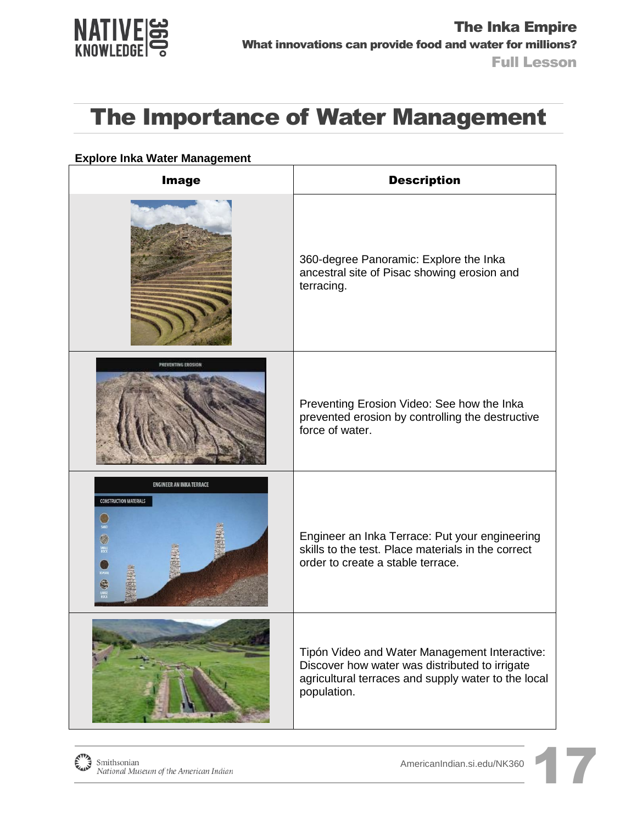

#### **Explore Inka Water Management**

| <b>Image</b>                                                                                | <b>Description</b>                                                                                                                                                    |
|---------------------------------------------------------------------------------------------|-----------------------------------------------------------------------------------------------------------------------------------------------------------------------|
|                                                                                             | 360-degree Panoramic: Explore the Inka<br>ancestral site of Pisac showing erosion and<br>terracing.                                                                   |
|                                                                                             | Preventing Erosion Video: See how the Inka<br>prevented erosion by controlling the destructive<br>force of water.                                                     |
| <b>ENGINEER AN INKA TERRACE</b><br><b>CONSTRUCTION MATERIALS</b><br>聯<br>SMALL<br>ROCK<br>é | Engineer an Inka Terrace: Put your engineering<br>skills to the test. Place materials in the correct<br>order to create a stable terrace.                             |
|                                                                                             | Tipón Video and Water Management Interactive:<br>Discover how water was distributed to irrigate<br>agricultural terraces and supply water to the local<br>population. |

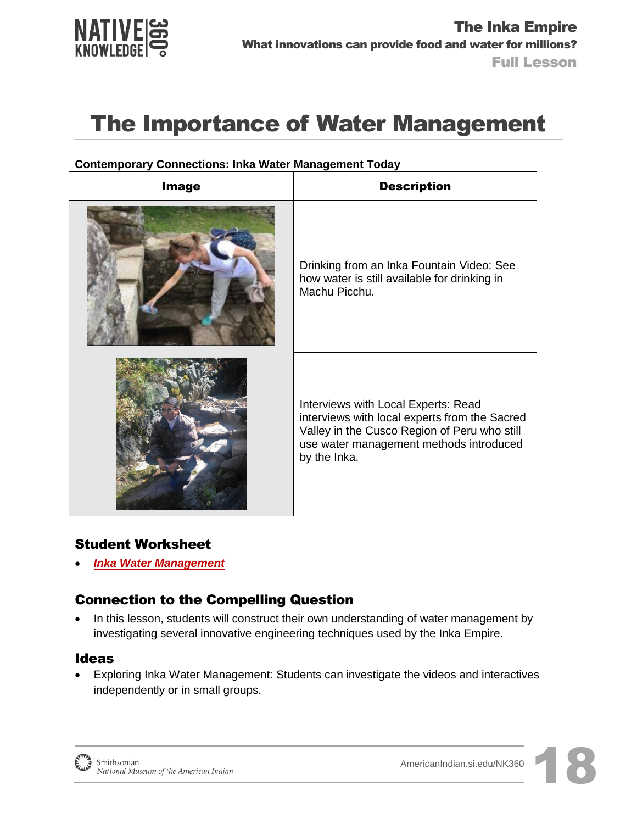

| <b>Image</b> | <b>Description</b>                                                                                                                                                                              |
|--------------|-------------------------------------------------------------------------------------------------------------------------------------------------------------------------------------------------|
|              | Drinking from an Inka Fountain Video: See<br>how water is still available for drinking in<br>Machu Picchu.                                                                                      |
|              | Interviews with Local Experts: Read<br>interviews with local experts from the Sacred<br>Valley in the Cusco Region of Peru who still<br>use water management methods introduced<br>by the Inka. |

#### **Contemporary Connections: Inka Water Management Today**

#### Student Worksheet

*[Inka Water Management](http://americanindian.si.edu/nk360/inka-water/pdf/Student-Instructions-SQ2-InkaRoad-WaterManagement-ENGLISH.pdf)*

### Connection to the Compelling Question

• In this lesson, students will construct their own understanding of water management by investigating several innovative engineering techniques used by the Inka Empire.

#### Ideas

 Exploring Inka Water Management: Students can investigate the videos and interactives independently or in small groups.



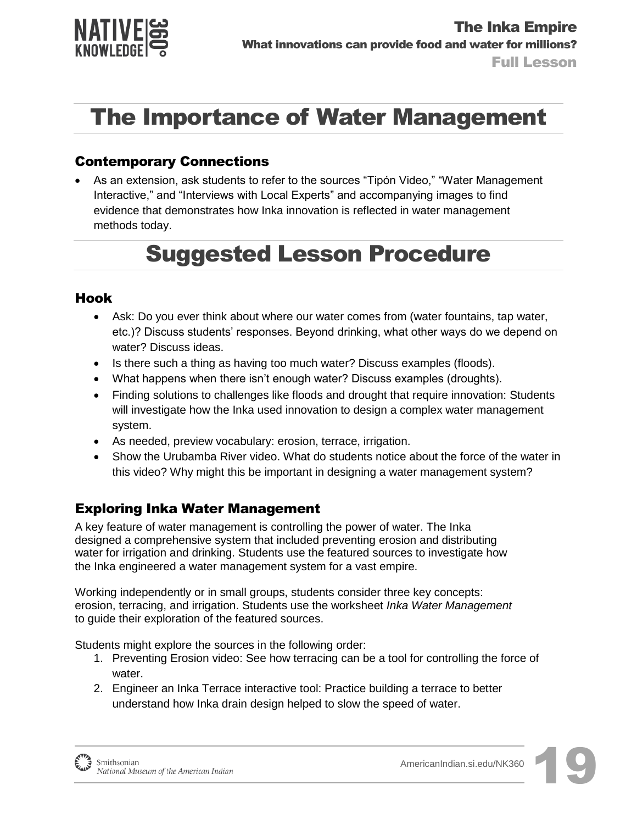

#### Contemporary Connections

 As an extension, ask students to refer to the sources "Tipón Video," "Water Management Interactive," and "Interviews with Local Experts" and accompanying images to find evidence that demonstrates how Inka innovation is reflected in water management methods today.

## Suggested Lesson Procedure

#### Hook

- Ask: Do you ever think about where our water comes from (water fountains, tap water, etc.)? Discuss students' responses. Beyond drinking, what other ways do we depend on water? Discuss ideas.
- Is there such a thing as having too much water? Discuss examples (floods).
- What happens when there isn't enough water? Discuss examples (droughts).
- Finding solutions to challenges like floods and drought that require innovation: Students will investigate how the Inka used innovation to design a complex water management system.
- As needed, preview vocabulary: erosion, terrace, irrigation.
- Show the Urubamba River video. What do students notice about the force of the water in this video? Why might this be important in designing a water management system?

### Exploring Inka Water Management

A key feature of water management is controlling the power of water. The Inka designed a comprehensive system that included preventing erosion and distributing water for irrigation and drinking. Students use the featured sources to investigate how the Inka engineered a water management system for a vast empire.

Working independently or in small groups, students consider three key concepts: erosion, terracing, and irrigation. Students use the worksheet *Inka Water Management* to guide their exploration of the featured sources.

Students might explore the sources in the following order:

- 1. Preventing Erosion video: See how terracing can be a tool for controlling the force of water.
- 2. Engineer an Inka Terrace interactive tool: Practice building a terrace to better understand how Inka drain design helped to slow the speed of water.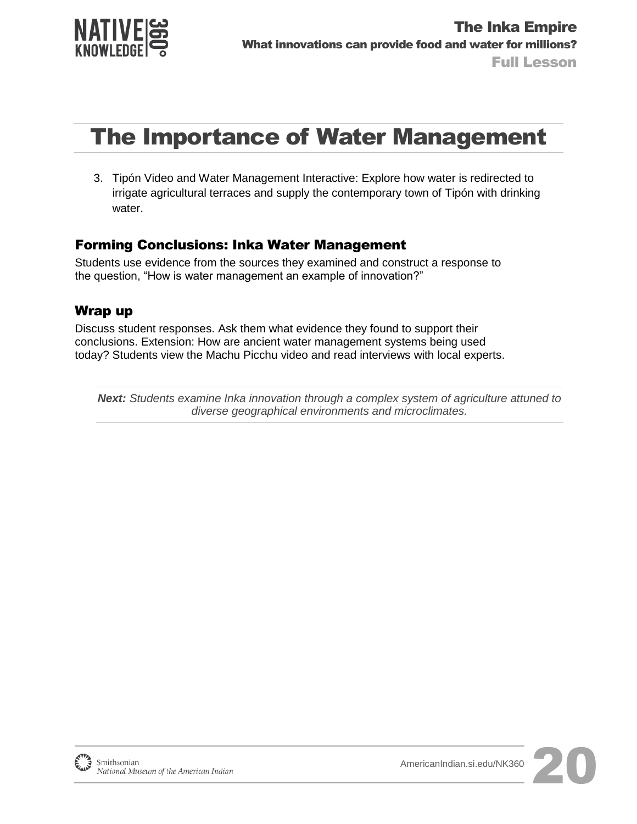

3. Tipón Video and Water Management Interactive: Explore how water is redirected to irrigate agricultural terraces and supply the contemporary town of Tipón with drinking water.

#### Forming Conclusions: Inka Water Management

Students use evidence from the sources they examined and construct a response to the question, "How is water management an example of innovation?"

#### Wrap up

Discuss student responses. Ask them what evidence they found to support their conclusions. Extension: How are ancient water management systems being used today? Students view the Machu Picchu video and read interviews with local experts.

*Next: Students examine Inka innovation through a complex system of agriculture attuned to diverse geographical environments and microclimates.*

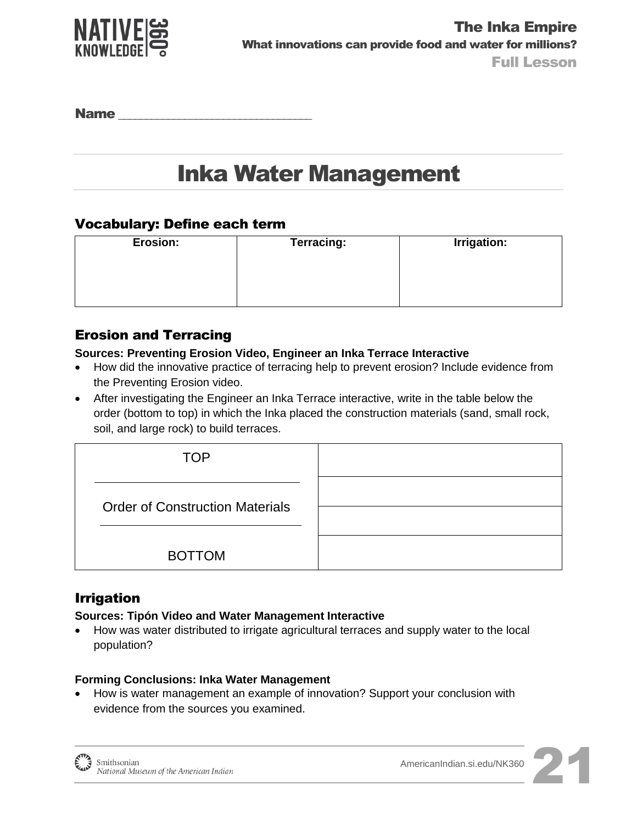

Name

## Inka Water Management

#### Vocabulary: Define each term

| Erosion: | <b>Terracing:</b> | <b>Irrigation:</b> |
|----------|-------------------|--------------------|
|          |                   |                    |
|          |                   |                    |
|          |                   |                    |

#### Erosion and Terracing

#### **Sources: Preventing Erosion Video, Engineer an Inka Terrace Interactive**

- How did the innovative practice of terracing help to prevent erosion? Include evidence from the Preventing Erosion video.
- After investigating the Engineer an Inka Terrace interactive, write in the table below the order (bottom to top) in which the Inka placed the construction materials (sand, small rock, soil, and large rock) to build terraces.

| <b>TOP</b>                             |  |
|----------------------------------------|--|
| <b>Order of Construction Materials</b> |  |
| <b>BOTTOM</b>                          |  |

#### Irrigation

#### **Sources: Tipón Video and Water Management Interactive**

 How was water distributed to irrigate agricultural terraces and supply water to the local population?

#### **Forming Conclusions: Inka Water Management**

 How is water management an example of innovation? Support your conclusion with evidence from the sources you examined.

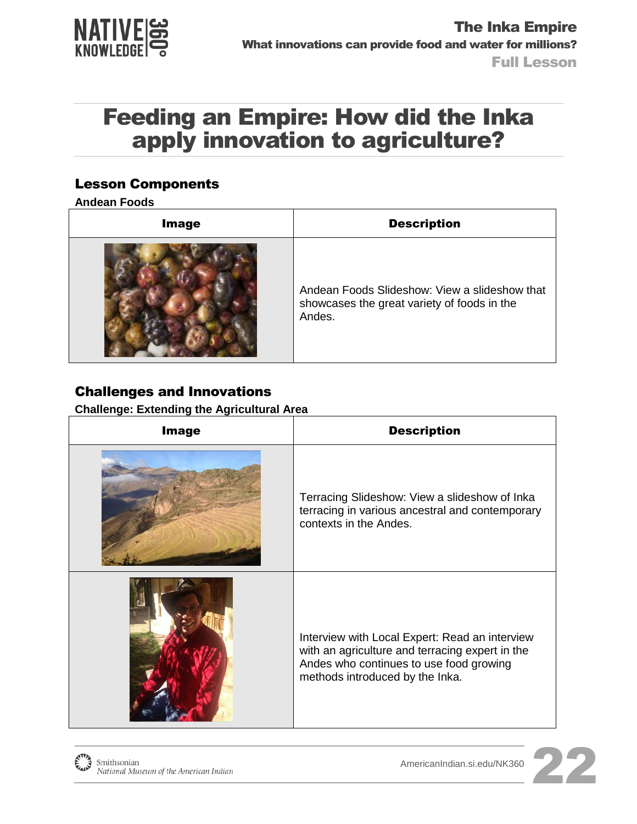

### Feeding an Empire: How did the Inka apply innovation to agriculture?

#### Lesson Components

**Andean Foods** 

| <b>Image</b> | <b>Description</b>                                                                                     |
|--------------|--------------------------------------------------------------------------------------------------------|
|              | Andean Foods Slideshow: View a slideshow that<br>showcases the great variety of foods in the<br>Andes. |

### Challenges and Innovations

**Challenge: Extending the Agricultural Area** 

| <b>Image</b> | <b>Description</b>                                                                                                                                                              |
|--------------|---------------------------------------------------------------------------------------------------------------------------------------------------------------------------------|
|              | Terracing Slideshow: View a slideshow of Inka<br>terracing in various ancestral and contemporary<br>contexts in the Andes.                                                      |
|              | Interview with Local Expert: Read an interview<br>with an agriculture and terracing expert in the<br>Andes who continues to use food growing<br>methods introduced by the Inka. |

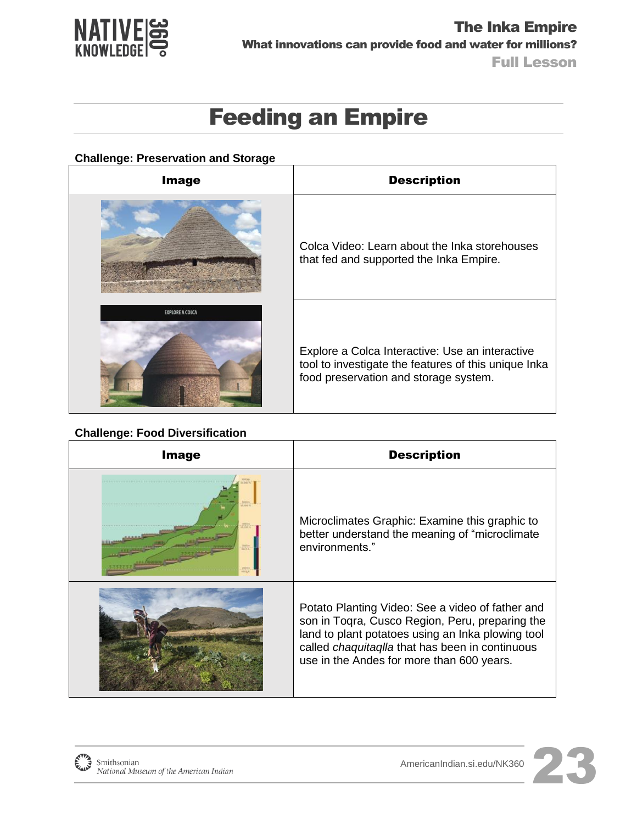

## Feeding an Empire

#### **Challenge: Preservation and Storage**

| <b>Image</b>           | <b>Description</b>                                                                                                                               |
|------------------------|--------------------------------------------------------------------------------------------------------------------------------------------------|
|                        | Colca Video: Learn about the Inka storehouses<br>that fed and supported the Inka Empire.                                                         |
| <b>EXPLORE A COLCA</b> | Explore a Colca Interactive: Use an interactive<br>tool to investigate the features of this unique Inka<br>food preservation and storage system. |

#### **Challenge: Food Diversification**

| <b>Image</b> | <b>Description</b>                                                                                                                                                                                                                                              |
|--------------|-----------------------------------------------------------------------------------------------------------------------------------------------------------------------------------------------------------------------------------------------------------------|
|              | Microclimates Graphic: Examine this graphic to<br>better understand the meaning of "microclimate"<br>environments."                                                                                                                                             |
|              | Potato Planting Video: See a video of father and<br>son in Togra, Cusco Region, Peru, preparing the<br>land to plant potatoes using an Inka plowing tool<br>called <i>chaquitaqlla</i> that has been in continuous<br>use in the Andes for more than 600 years. |



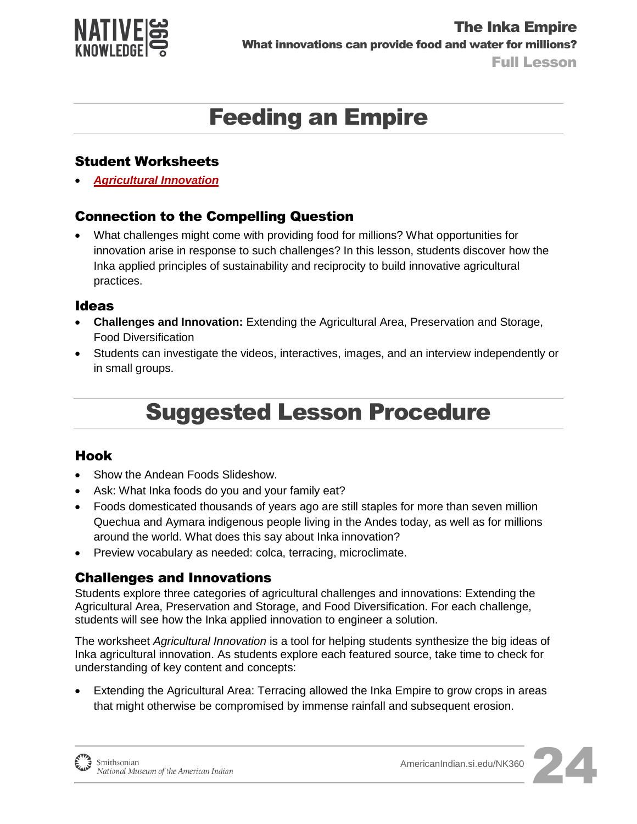

## Feeding an Empire

#### Student Worksheets

*[Agricultural Innovation](http://americanindian.si.edu/nk360/inka-water/pdf/Student-Instructions-SQ3-InkaRoad-WaterManagement-ENGLISH.pdf)*

#### Connection to the Compelling Question

 What challenges might come with providing food for millions? What opportunities for innovation arise in response to such challenges? In this lesson, students discover how the Inka applied principles of sustainability and reciprocity to build innovative agricultural practices.

#### Ideas

- **Challenges and Innovation:** Extending the Agricultural Area, Preservation and Storage, Food Diversification
- Students can investigate the videos, interactives, images, and an interview independently or in small groups.

## Suggested Lesson Procedure

#### Hook

- Show the Andean Foods Slideshow.
- Ask: What Inka foods do you and your family eat?
- Foods domesticated thousands of years ago are still staples for more than seven million Quechua and Aymara indigenous people living in the Andes today, as well as for millions around the world. What does this say about Inka innovation?
- Preview vocabulary as needed: colca, terracing, microclimate.

#### Challenges and Innovations

Students explore three categories of agricultural challenges and innovations: Extending the Agricultural Area, Preservation and Storage, and Food Diversification. For each challenge, students will see how the Inka applied innovation to engineer a solution.

The worksheet *Agricultural Innovation* is a tool for helping students synthesize the big ideas of Inka agricultural innovation. As students explore each featured source, take time to check for understanding of key content and concepts:

 Extending the Agricultural Area: Terracing allowed the Inka Empire to grow crops in areas that might otherwise be compromised by immense rainfall and subsequent erosion.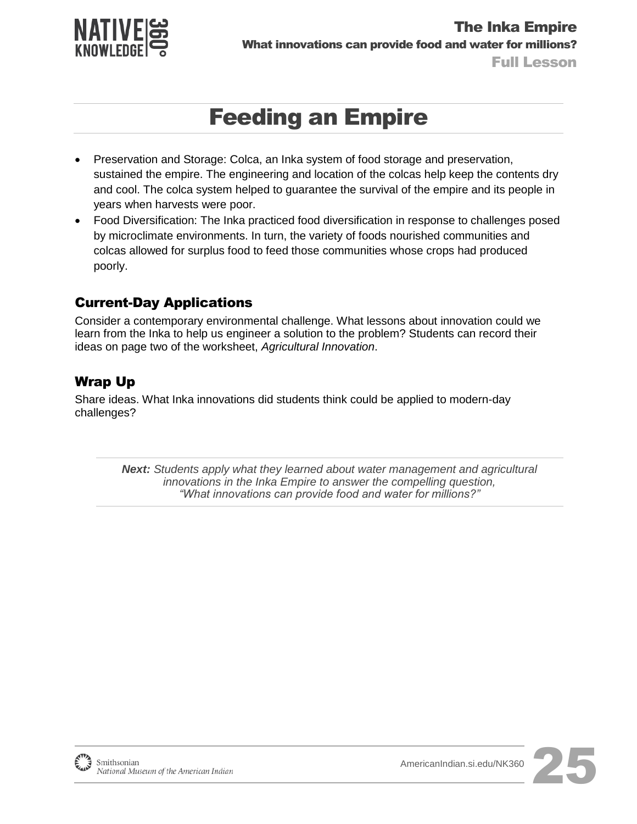

## Feeding an Empire

- Preservation and Storage: Colca, an Inka system of food storage and preservation, sustained the empire. The engineering and location of the colcas help keep the contents dry and cool. The colca system helped to guarantee the survival of the empire and its people in years when harvests were poor.
- Food Diversification: The Inka practiced food diversification in response to challenges posed by microclimate environments. In turn, the variety of foods nourished communities and colcas allowed for surplus food to feed those communities whose crops had produced poorly.

### Current-Day Applications

Consider a contemporary environmental challenge. What lessons about innovation could we learn from the Inka to help us engineer a solution to the problem? Students can record their ideas on page two of the worksheet, *Agricultural Innovation*.

### Wrap Up

Share ideas. What Inka innovations did students think could be applied to modern-day challenges?

> *Next: Students apply what they learned about water management and agricultural innovations in the Inka Empire to answer the compelling question, "What innovations can provide food and water for millions?"*

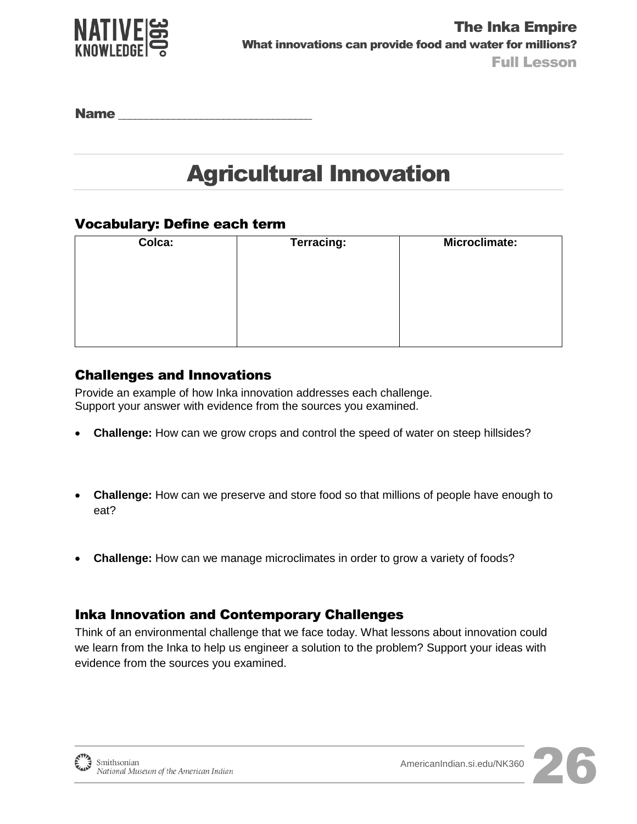

Name

# Agricultural Innovation

#### Vocabulary: Define each term

| Colca: | <b>Terracing:</b> | Microclimate: |
|--------|-------------------|---------------|
|        |                   |               |
|        |                   |               |
|        |                   |               |
|        |                   |               |
|        |                   |               |

#### Challenges and Innovations

Provide an example of how Inka innovation addresses each challenge. Support your answer with evidence from the sources you examined.

- **Challenge:** How can we grow crops and control the speed of water on steep hillsides?
- **Challenge:** How can we preserve and store food so that millions of people have enough to eat?
- **Challenge:** How can we manage microclimates in order to grow a variety of foods?

#### Inka Innovation and Contemporary Challenges

Think of an environmental challenge that we face today. What lessons about innovation could we learn from the Inka to help us engineer a solution to the problem? Support your ideas with evidence from the sources you examined.

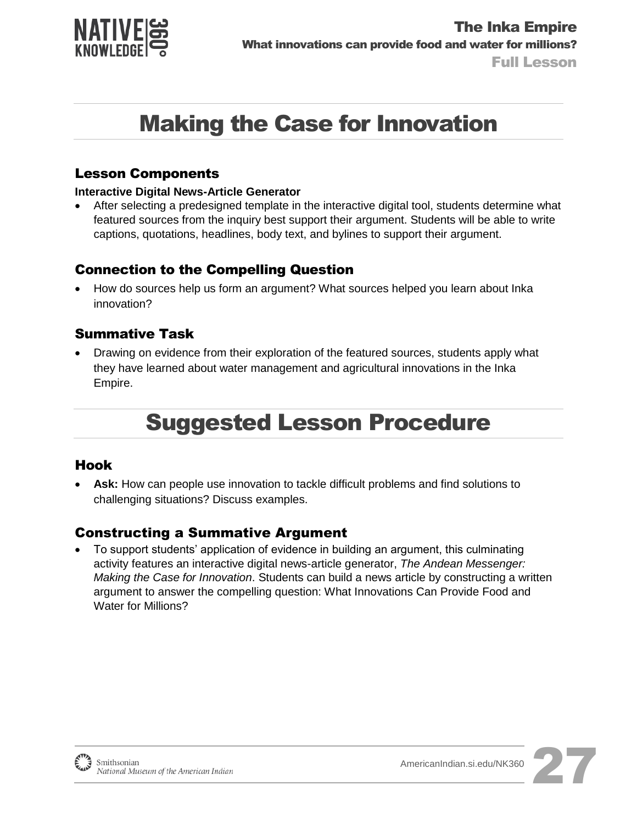

# Making the Case for Innovation

#### Lesson Components

#### **Interactive Digital News-Article Generator**

 After selecting a predesigned template in the interactive digital tool, students determine what featured sources from the inquiry best support their argument. Students will be able to write captions, quotations, headlines, body text, and bylines to support their argument.

### Connection to the Compelling Question

 How do sources help us form an argument? What sources helped you learn about Inka innovation?

### Summative Task

 Drawing on evidence from their exploration of the featured sources, students apply what they have learned about water management and agricultural innovations in the Inka Empire.

## Suggested Lesson Procedure

#### Hook

 **Ask:** How can people use innovation to tackle difficult problems and find solutions to challenging situations? Discuss examples.

#### Constructing a Summative Argument

 To support students' application of evidence in building an argument, this culminating activity features an interactive digital news-article generator, *The Andean Messenger: Making the Case for Innovation*. Students can build a news article by constructing a written argument to answer the compelling question: What Innovations Can Provide Food and Water for Millions?